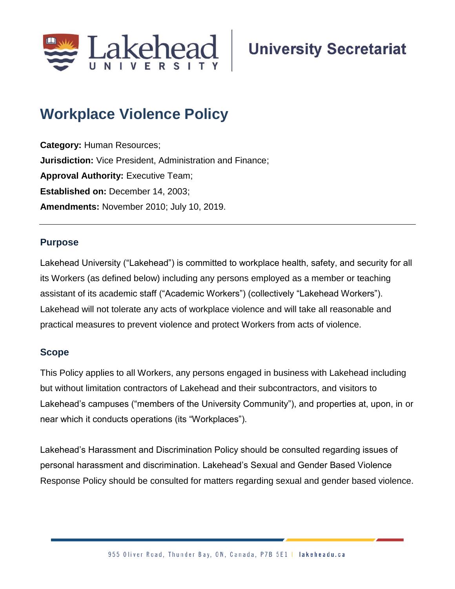

# **Workplace Violence Policy**

**Category:** Human Resources; **Jurisdiction:** Vice President, Administration and Finance; **Approval Authority: Executive Team; Established on:** December 14, 2003; **Amendments:** November 2010; July 10, 2019.

#### **Purpose**

Lakehead University ("Lakehead") is committed to workplace health, safety, and security for all its Workers (as defined below) including any persons employed as a member or teaching assistant of its academic staff ("Academic Workers") (collectively "Lakehead Workers"). Lakehead will not tolerate any acts of workplace violence and will take all reasonable and practical measures to prevent violence and protect Workers from acts of violence.

#### **Scope**

This Policy applies to all Workers, any persons engaged in business with Lakehead including but without limitation contractors of Lakehead and their subcontractors, and visitors to Lakehead's campuses ("members of the University Community"), and properties at, upon, in or near which it conducts operations (its "Workplaces").

Lakehead's Harassment and Discrimination Policy should be consulted regarding issues of personal harassment and discrimination. Lakehead's Sexual and Gender Based Violence Response Policy should be consulted for matters regarding sexual and gender based violence.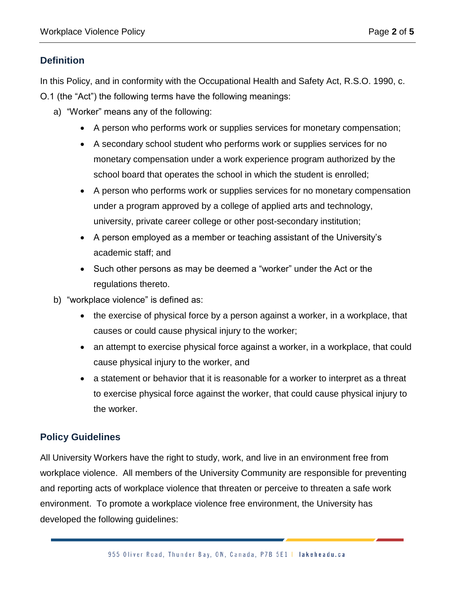# **Definition**

In this Policy, and in conformity with the Occupational Health and Safety Act, R.S.O. 1990, c. O.1 (the "Act") the following terms have the following meanings:

- a) "Worker" means any of the following:
	- A person who performs work or supplies services for monetary compensation;
	- A secondary school student who performs work or supplies services for no monetary compensation under a work experience program authorized by the school board that operates the school in which the student is enrolled;
	- A person who performs work or supplies services for no monetary compensation under a program approved by a college of applied arts and technology, university, private career college or other post-secondary institution;
	- A person employed as a member or teaching assistant of the University's academic staff; and
	- Such other persons as may be deemed a "worker" under the Act or the regulations thereto.
- b) "workplace violence" is defined as:
	- the exercise of physical force by a person against a worker, in a workplace, that causes or could cause physical injury to the worker;
	- an attempt to exercise physical force against a worker, in a workplace, that could cause physical injury to the worker, and
	- a statement or behavior that it is reasonable for a worker to interpret as a threat to exercise physical force against the worker, that could cause physical injury to the worker.

## **Policy Guidelines**

All University Workers have the right to study, work, and live in an environment free from workplace violence. All members of the University Community are responsible for preventing and reporting acts of workplace violence that threaten or perceive to threaten a safe work environment. To promote a workplace violence free environment, the University has developed the following guidelines: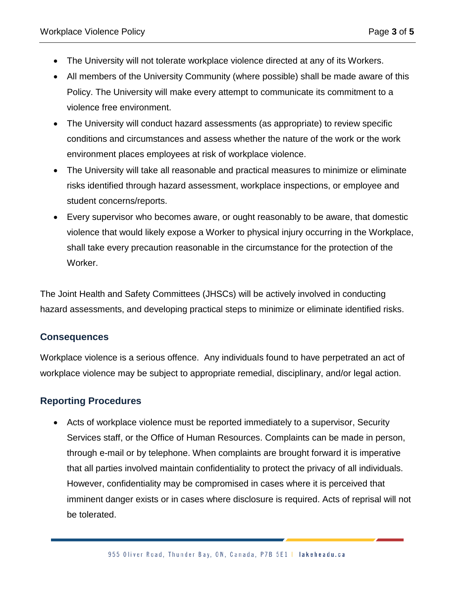- The University will not tolerate workplace violence directed at any of its Workers.
- All members of the University Community (where possible) shall be made aware of this Policy. The University will make every attempt to communicate its commitment to a violence free environment.
- The University will conduct hazard assessments (as appropriate) to review specific conditions and circumstances and assess whether the nature of the work or the work environment places employees at risk of workplace violence.
- The University will take all reasonable and practical measures to minimize or eliminate risks identified through hazard assessment, workplace inspections, or employee and student concerns/reports.
- Every supervisor who becomes aware, or ought reasonably to be aware, that domestic violence that would likely expose a Worker to physical injury occurring in the Workplace, shall take every precaution reasonable in the circumstance for the protection of the Worker.

The Joint Health and Safety Committees (JHSCs) will be actively involved in conducting hazard assessments, and developing practical steps to minimize or eliminate identified risks.

## **Consequences**

Workplace violence is a serious offence. Any individuals found to have perpetrated an act of workplace violence may be subject to appropriate remedial, disciplinary, and/or legal action.

## **Reporting Procedures**

• Acts of workplace violence must be reported immediately to a supervisor, Security Services staff, or the Office of Human Resources. Complaints can be made in person, through e-mail or by telephone. When complaints are brought forward it is imperative that all parties involved maintain confidentiality to protect the privacy of all individuals. However, confidentiality may be compromised in cases where it is perceived that imminent danger exists or in cases where disclosure is required. Acts of reprisal will not be tolerated.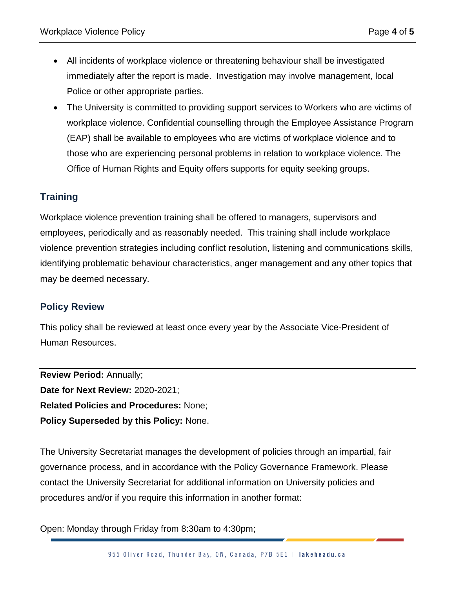- All incidents of workplace violence or threatening behaviour shall be investigated immediately after the report is made. Investigation may involve management, local Police or other appropriate parties.
- The University is committed to providing support services to Workers who are victims of workplace violence. Confidential counselling through the Employee Assistance Program (EAP) shall be available to employees who are victims of workplace violence and to those who are experiencing personal problems in relation to workplace violence. The Office of Human Rights and Equity offers supports for equity seeking groups.

# **Training**

Workplace violence prevention training shall be offered to managers, supervisors and employees, periodically and as reasonably needed. This training shall include workplace violence prevention strategies including conflict resolution, listening and communications skills, identifying problematic behaviour characteristics, anger management and any other topics that may be deemed necessary.

#### **Policy Review**

This policy shall be reviewed at least once every year by the Associate Vice-President of Human Resources.

**Review Period:** Annually; **Date for Next Review:** 2020-2021; **Related Policies and Procedures:** None; **Policy Superseded by this Policy:** None.

The University Secretariat manages the development of policies through an impartial, fair governance process, and in accordance with the Policy Governance Framework. Please contact the University Secretariat for additional information on University policies and procedures and/or if you require this information in another format:

Open: Monday through Friday from 8:30am to 4:30pm;